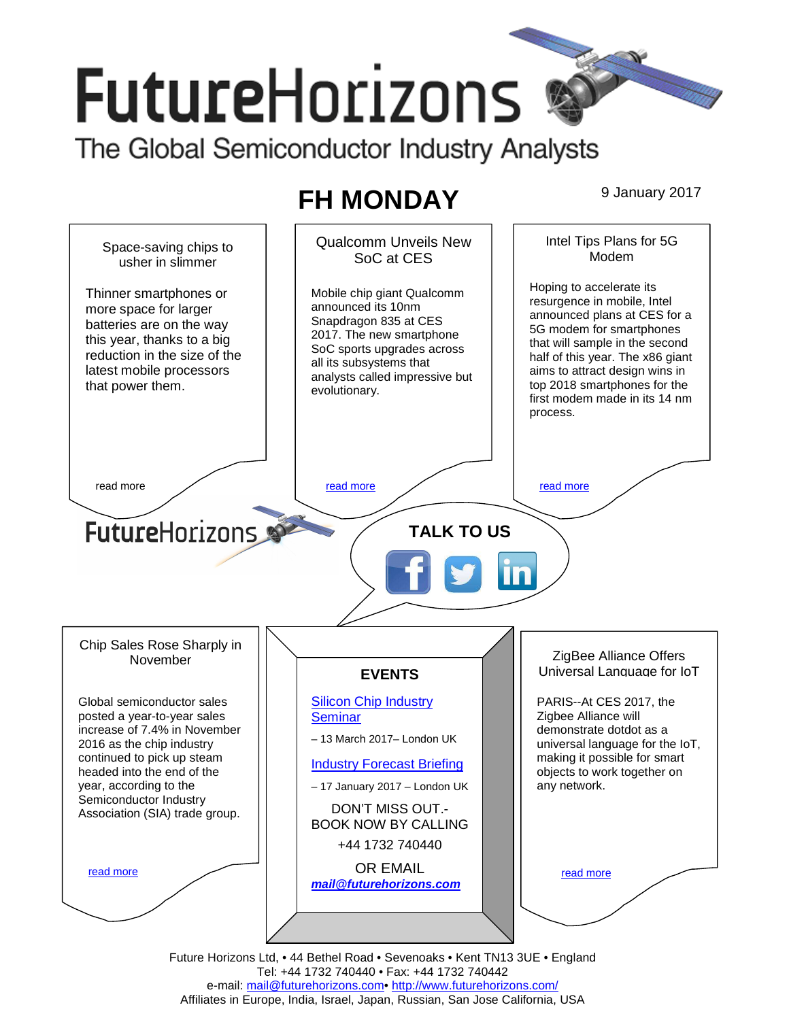# **FutureHorizons** The Global Semiconductor Industry Analysts

**FH MONDAY** 9 January 2017



Future Horizons Ltd, • 44 Bethel Road • Sevenoaks • Kent TN13 3UE • England Tel: +44 1732 740440 • Fax: +44 1732 740442 e-mail: mail@futurehorizons.com• http://www.futurehorizons.com/ Affiliates in Europe, India, Israel, Japan, Russian, San Jose California, USA